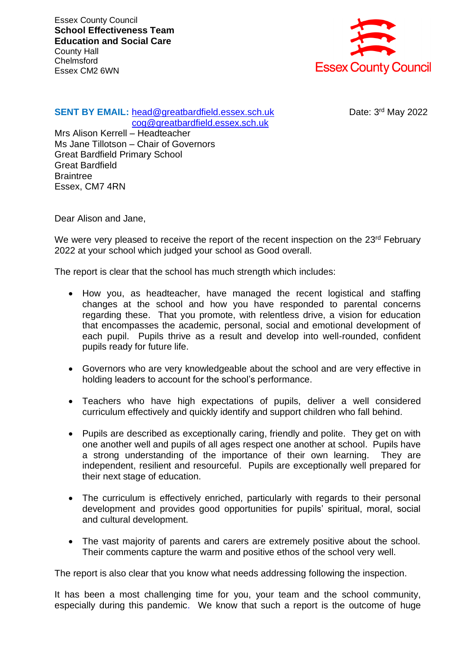Essex County Council **School Effectiveness Team Education and Social Care** County Hall **Chelmsford** Essex CM2 6WN



## **SENT BY EMAIL:** [head@greatbardfield.essex.sch.uk](mailto:head@greatbardfield.essex.sch.uk) [cog@greatbardfield.essex.sch.uk](mailto:cog@greatbardfield.essex.sch.uk)

Date: 3rd May 2022

Mrs Alison Kerrell – Headteacher Ms Jane Tillotson – Chair of Governors Great Bardfield Primary School Great Bardfield **Braintree** Essex, CM7 4RN

Dear Alison and Jane,

We were very pleased to receive the report of the recent inspection on the 23<sup>rd</sup> February 2022 at your school which judged your school as Good overall.

The report is clear that the school has much strength which includes:

- How you, as headteacher, have managed the recent logistical and staffing changes at the school and how you have responded to parental concerns regarding these. That you promote, with relentless drive, a vision for education that encompasses the academic, personal, social and emotional development of each pupil. Pupils thrive as a result and develop into well-rounded, confident pupils ready for future life.
- Governors who are very knowledgeable about the school and are very effective in holding leaders to account for the school's performance.
- Teachers who have high expectations of pupils, deliver a well considered curriculum effectively and quickly identify and support children who fall behind.
- Pupils are described as exceptionally caring, friendly and polite. They get on with one another well and pupils of all ages respect one another at school. Pupils have a strong understanding of the importance of their own learning. They are independent, resilient and resourceful. Pupils are exceptionally well prepared for their next stage of education.
- The curriculum is effectively enriched, particularly with regards to their personal development and provides good opportunities for pupils' spiritual, moral, social and cultural development.
- The vast majority of parents and carers are extremely positive about the school. Their comments capture the warm and positive ethos of the school very well.

The report is also clear that you know what needs addressing following the inspection.

It has been a most challenging time for you, your team and the school community, especially during this pandemic. We know that such a report is the outcome of huge